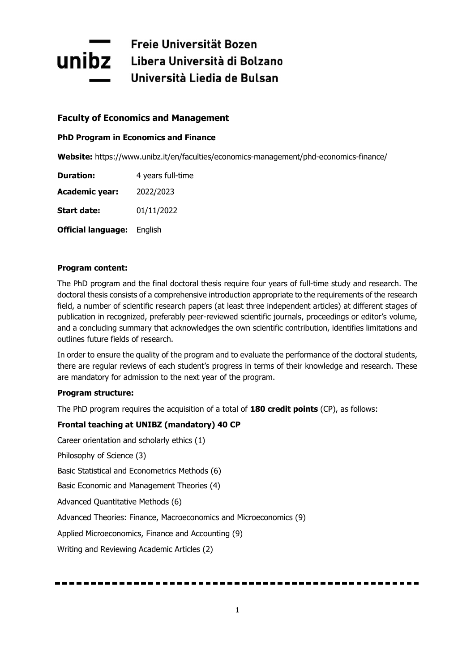# Freie Universität Bozen **Unibz** Libera Università di Bolzano Università Liedia de Bulsan

# **Faculty of Economics and Management**

# **PhD Program in Economics and Finance**

**Website:** https://www.unibz.it/en/faculties/economics-management/phd-economics-finance/

| <b>Duration:</b>          | 4 years full-time |  |  |
|---------------------------|-------------------|--|--|
| <b>Academic year:</b>     | 2022/2023         |  |  |
| <b>Start date:</b>        | 01/11/2022        |  |  |
| <b>Official language:</b> | English           |  |  |

# **Program content:**

The PhD program and the final doctoral thesis require four years of full-time study and research. The doctoral thesis consists of a comprehensive introduction appropriate to the requirements of the research field, a number of scientific research papers (at least three independent articles) at different stages of publication in recognized, preferably peer-reviewed scientific journals, proceedings or editor's volume, and a concluding summary that acknowledges the own scientific contribution, identifies limitations and outlines future fields of research.

In order to ensure the quality of the program and to evaluate the performance of the doctoral students, there are regular reviews of each student's progress in terms of their knowledge and research. These are mandatory for admission to the next year of the program.

## **Program structure:**

The PhD program requires the acquisition of a total of **180 credit points** (CP), as follows:

# **Frontal teaching at UNIBZ (mandatory) 40 CP**

Career orientation and scholarly ethics (1) Philosophy of Science (3) Basic Statistical and Econometrics Methods (6) Basic Economic and Management Theories (4) Advanced Quantitative Methods (6) Advanced Theories: Finance, Macroeconomics and Microeconomics (9) Applied Microeconomics, Finance and Accounting (9) Writing and Reviewing Academic Articles (2)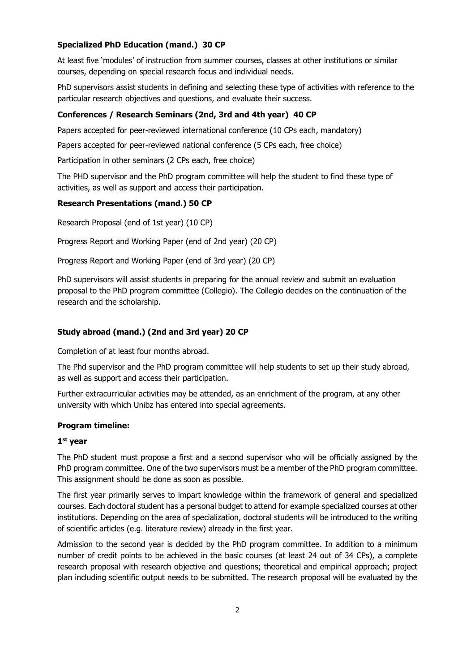# **Specialized PhD Education (mand.) 30 CP**

At least five 'modules' of instruction from summer courses, classes at other institutions or similar courses, depending on special research focus and individual needs.

PhD supervisors assist students in defining and selecting these type of activities with reference to the particular research objectives and questions, and evaluate their success.

## **Conferences / Research Seminars (2nd, 3rd and 4th year) 40 CP**

Papers accepted for peer-reviewed international conference (10 CPs each, mandatory)

Papers accepted for peer-reviewed national conference (5 CPs each, free choice)

Participation in other seminars (2 CPs each, free choice)

The PHD supervisor and the PhD program committee will help the student to find these type of activities, as well as support and access their participation.

## **Research Presentations (mand.) 50 CP**

Research Proposal (end of 1st year) (10 CP)

Progress Report and Working Paper (end of 2nd year) (20 CP)

Progress Report and Working Paper (end of 3rd year) (20 CP)

PhD supervisors will assist students in preparing for the annual review and submit an evaluation proposal to the PhD program committee (Collegio). The Collegio decides on the continuation of the research and the scholarship.

## **Study abroad (mand.) (2nd and 3rd year) 20 CP**

Completion of at least four months abroad.

The Phd supervisor and the PhD program committee will help students to set up their study abroad, as well as support and access their participation.

Further extracurricular activities may be attended, as an enrichment of the program, at any other university with which Unibz has entered into special agreements.

## **Program timeline:**

#### **1st year**

The PhD student must propose a first and a second supervisor who will be officially assigned by the PhD program committee. One of the two supervisors must be a member of the PhD program committee. This assignment should be done as soon as possible.

The first year primarily serves to impart knowledge within the framework of general and specialized courses. Each doctoral student has a personal budget to attend for example specialized courses at other institutions. Depending on the area of specialization, doctoral students will be introduced to the writing of scientific articles (e.g. literature review) already in the first year.

Admission to the second year is decided by the PhD program committee. In addition to a minimum number of credit points to be achieved in the basic courses (at least 24 out of 34 CPs), a complete research proposal with research objective and questions; theoretical and empirical approach; project plan including scientific output needs to be submitted. The research proposal will be evaluated by the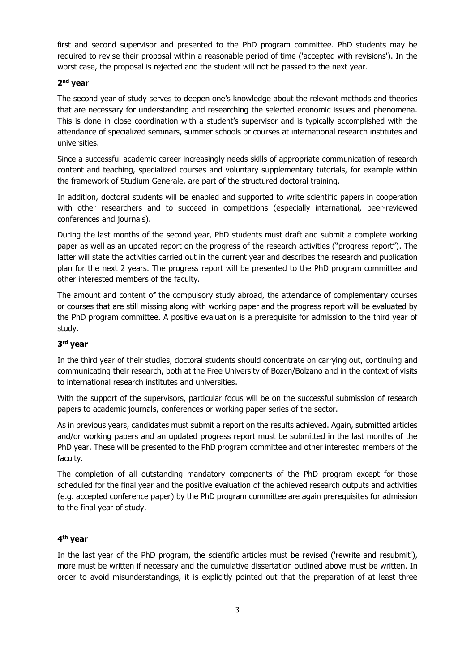first and second supervisor and presented to the PhD program committee. PhD students may be required to revise their proposal within a reasonable period of time ('accepted with revisions'). In the worst case, the proposal is rejected and the student will not be passed to the next year.

## **2nd year**

The second year of study serves to deepen one's knowledge about the relevant methods and theories that are necessary for understanding and researching the selected economic issues and phenomena. This is done in close coordination with a student's supervisor and is typically accomplished with the attendance of specialized seminars, summer schools or courses at international research institutes and universities.

Since a successful academic career increasingly needs skills of appropriate communication of research content and teaching, specialized courses and voluntary supplementary tutorials, for example within the framework of Studium Generale, are part of the structured doctoral training.

In addition, doctoral students will be enabled and supported to write scientific papers in cooperation with other researchers and to succeed in competitions (especially international, peer-reviewed conferences and journals).

During the last months of the second year, PhD students must draft and submit a complete working paper as well as an updated report on the progress of the research activities ("progress report"). The latter will state the activities carried out in the current year and describes the research and publication plan for the next 2 years. The progress report will be presented to the PhD program committee and other interested members of the faculty.

The amount and content of the compulsory study abroad, the attendance of complementary courses or courses that are still missing along with working paper and the progress report will be evaluated by the PhD program committee. A positive evaluation is a prerequisite for admission to the third year of study.

# **3rd year**

In the third year of their studies, doctoral students should concentrate on carrying out, continuing and communicating their research, both at the Free University of Bozen/Bolzano and in the context of visits to international research institutes and universities.

With the support of the supervisors, particular focus will be on the successful submission of research papers to academic journals, conferences or working paper series of the sector.

As in previous years, candidates must submit a report on the results achieved. Again, submitted articles and/or working papers and an updated progress report must be submitted in the last months of the PhD year. These will be presented to the PhD program committee and other interested members of the faculty.

The completion of all outstanding mandatory components of the PhD program except for those scheduled for the final year and the positive evaluation of the achieved research outputs and activities (e.g. accepted conference paper) by the PhD program committee are again prerequisites for admission to the final year of study.

# **4th year**

In the last year of the PhD program, the scientific articles must be revised ('rewrite and resubmit'), more must be written if necessary and the cumulative dissertation outlined above must be written. In order to avoid misunderstandings, it is explicitly pointed out that the preparation of at least three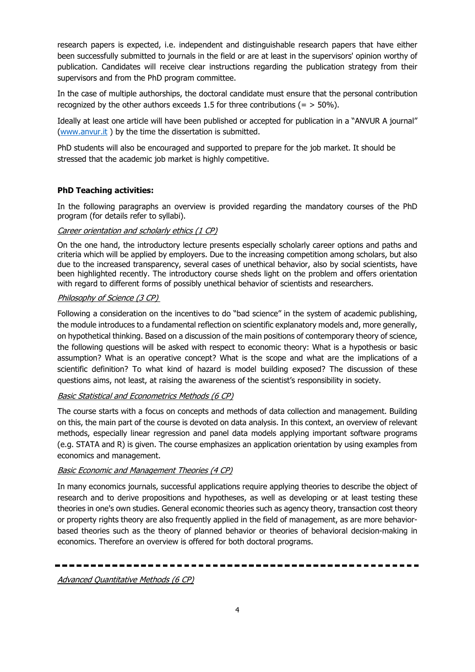research papers is expected, i.e. independent and distinguishable research papers that have either been successfully submitted to journals in the field or are at least in the supervisors' opinion worthy of publication. Candidates will receive clear instructions regarding the publication strategy from their supervisors and from the PhD program committee.

In the case of multiple authorships, the doctoral candidate must ensure that the personal contribution recognized by the other authors exceeds 1.5 for three contributions  $(=$  > 50%).

Ideally at least one article will have been published or accepted for publication in a "ANVUR A journal" [\(www.anvur.it](http://www.anvur.it/) ) by the time the dissertation is submitted.

PhD students will also be encouraged and supported to prepare for the job market. It should be stressed that the academic job market is highly competitive.

# **PhD Teaching activities:**

In the following paragraphs an overview is provided regarding the mandatory courses of the PhD program (for details refer to syllabi).

## Career orientation and scholarly ethics (1 CP)

On the one hand, the introductory lecture presents especially scholarly career options and paths and criteria which will be applied by employers. Due to the increasing competition among scholars, but also due to the increased transparency, several cases of unethical behavior, also by social scientists, have been highlighted recently. The introductory course sheds light on the problem and offers orientation with regard to different forms of possibly unethical behavior of scientists and researchers.

# Philosophy of Science (3 CP)

Following a consideration on the incentives to do "bad science" in the system of academic publishing, the module introduces to a fundamental reflection on scientific explanatory models and, more generally, on hypothetical thinking. Based on a discussion of the main positions of contemporary theory of science, the following questions will be asked with respect to economic theory: What is a hypothesis or basic assumption? What is an operative concept? What is the scope and what are the implications of a scientific definition? To what kind of hazard is model building exposed? The discussion of these questions aims, not least, at raising the awareness of the scientist's responsibility in society.

# Basic Statistical and Econometrics Methods (6 CP)

The course starts with a focus on concepts and methods of data collection and management. Building on this, the main part of the course is devoted on data analysis. In this context, an overview of relevant methods, especially linear regression and panel data models applying important software programs (e.g. STATA and R) is given. The course emphasizes an application orientation by using examples from economics and management.

## Basic Economic and Management Theories (4 CP)

In many economics journals, successful applications require applying theories to describe the object of research and to derive propositions and hypotheses, as well as developing or at least testing these theories in one's own studies. General economic theories such as agency theory, transaction cost theory or property rights theory are also frequently applied in the field of management, as are more behaviorbased theories such as the theory of planned behavior or theories of behavioral decision-making in economics. Therefore an overview is offered for both doctoral programs.

Advanced Quantitative Methods (6 CP)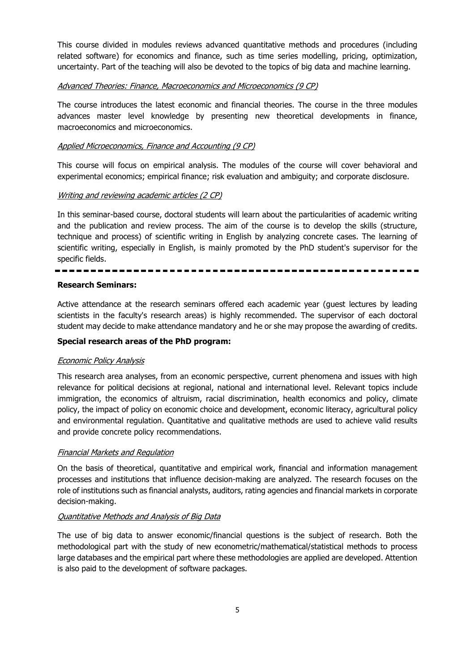This course divided in modules reviews advanced quantitative methods and procedures (including related software) for economics and finance, such as time series modelling, pricing, optimization, uncertainty. Part of the teaching will also be devoted to the topics of big data and machine learning.

#### Advanced Theories: Finance, Macroeconomics and Microeconomics (9 CP)

The course introduces the latest economic and financial theories. The course in the three modules advances master level knowledge by presenting new theoretical developments in finance, macroeconomics and microeconomics.

#### Applied Microeconomics, Finance and Accounting (9 CP)

This course will focus on empirical analysis. The modules of the course will cover behavioral and experimental economics; empirical finance; risk evaluation and ambiguity; and corporate disclosure.

#### Writing and reviewing academic articles (2 CP)

In this seminar-based course, doctoral students will learn about the particularities of academic writing and the publication and review process. The aim of the course is to develop the skills (structure, technique and process) of scientific writing in English by analyzing concrete cases. The learning of scientific writing, especially in English, is mainly promoted by the PhD student's supervisor for the specific fields.

#### **Research Seminars:**

Active attendance at the research seminars offered each academic year (guest lectures by leading scientists in the faculty's research areas) is highly recommended. The supervisor of each doctoral student may decide to make attendance mandatory and he or she may propose the awarding of credits.

#### **Special research areas of the PhD program:**

#### Economic Policy Analysis

This research area analyses, from an economic perspective, current phenomena and issues with high relevance for political decisions at regional, national and international level. Relevant topics include immigration, the economics of altruism, racial discrimination, health economics and policy, climate policy, the impact of policy on economic choice and development, economic literacy, agricultural policy and environmental regulation. Quantitative and qualitative methods are used to achieve valid results and provide concrete policy recommendations.

#### Financial Markets and Regulation

On the basis of theoretical, quantitative and empirical work, financial and information management processes and institutions that influence decision-making are analyzed. The research focuses on the role of institutions such as financial analysts, auditors, rating agencies and financial markets in corporate decision-making.

#### Quantitative Methods and Analysis of Big Data

The use of big data to answer economic/financial questions is the subject of research. Both the methodological part with the study of new econometric/mathematical/statistical methods to process large databases and the empirical part where these methodologies are applied are developed. Attention is also paid to the development of software packages.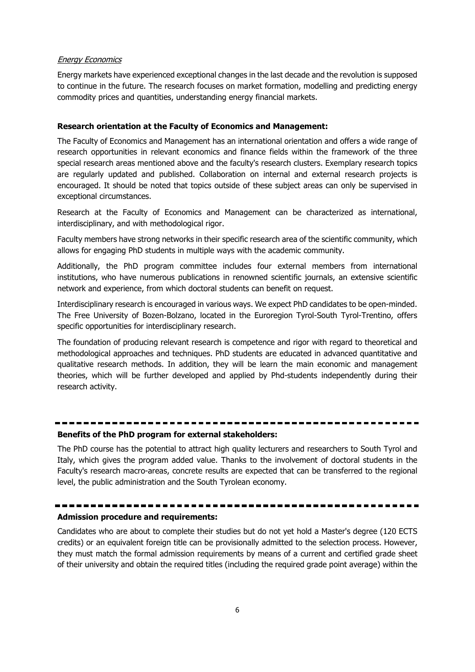#### Energy Economics

Energy markets have experienced exceptional changes in the last decade and the revolution is supposed to continue in the future. The research focuses on market formation, modelling and predicting energy commodity prices and quantities, understanding energy financial markets.

#### **Research orientation at the Faculty of Economics and Management:**

The Faculty of Economics and Management has an international orientation and offers a wide range of research opportunities in relevant economics and finance fields within the framework of the three special research areas mentioned above and the faculty's research clusters. Exemplary research topics are regularly updated and published. Collaboration on internal and external research projects is encouraged. It should be noted that topics outside of these subject areas can only be supervised in exceptional circumstances.

Research at the Faculty of Economics and Management can be characterized as international, interdisciplinary, and with methodological rigor.

Faculty members have strong networks in their specific research area of the scientific community, which allows for engaging PhD students in multiple ways with the academic community.

Additionally, the PhD program committee includes four external members from international institutions, who have numerous publications in renowned scientific journals, an extensive scientific network and experience, from which doctoral students can benefit on request.

Interdisciplinary research is encouraged in various ways. We expect PhD candidates to be open-minded. The Free University of Bozen-Bolzano, located in the Euroregion Tyrol-South Tyrol-Trentino, offers specific opportunities for interdisciplinary research.

The foundation of producing relevant research is competence and rigor with regard to theoretical and methodological approaches and techniques. PhD students are educated in advanced quantitative and qualitative research methods. In addition, they will be learn the main economic and management theories, which will be further developed and applied by Phd-students independently during their research activity.

# **Benefits of the PhD program for external stakeholders:**

The PhD course has the potential to attract high quality lecturers and researchers to South Tyrol and Italy, which gives the program added value. Thanks to the involvement of doctoral students in the Faculty's research macro-areas, concrete results are expected that can be transferred to the regional level, the public administration and the South Tyrolean economy.

## **Admission procedure and requirements:**

Candidates who are about to complete their studies but do not yet hold a Master's degree (120 ECTS credits) or an equivalent foreign title can be provisionally admitted to the selection process. However, they must match the formal admission requirements by means of a current and certified grade sheet of their university and obtain the required titles (including the required grade point average) within the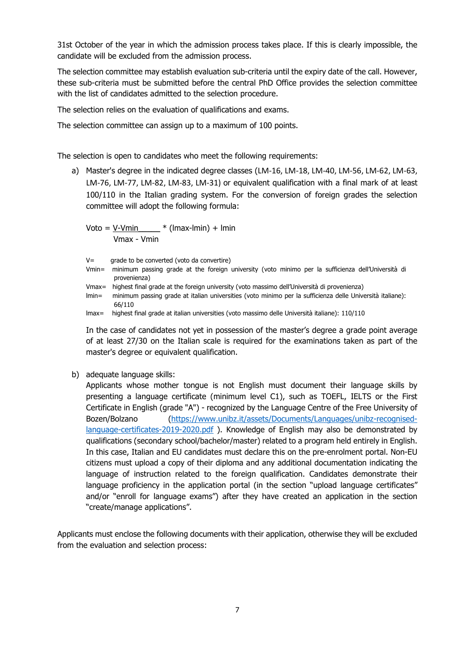31st October of the year in which the admission process takes place. If this is clearly impossible, the candidate will be excluded from the admission process.

The selection committee may establish evaluation sub-criteria until the expiry date of the call. However, these sub-criteria must be submitted before the central PhD Office provides the selection committee with the list of candidates admitted to the selection procedure.

The selection relies on the evaluation of qualifications and exams.

The selection committee can assign up to a maximum of 100 points.

The selection is open to candidates who meet the following requirements:

a) Master's degree in the indicated degree classes (LM-16, LM-18, LM-40, LM-56, LM-62, LM-63, LM-76, LM-77, LM-82, LM-83, LM-31) or equivalent qualification with a final mark of at least 100/110 in the Italian grading system. For the conversion of foreign grades the selection committee will adopt the following formula:

 $Voto = V-Vmin$   $*$  (lmax-lmin) + lmin Vmax - Vmin

V= grade to be converted (voto da convertire)

- Vmin= minimum passing grade at the foreign university (voto minimo per la sufficienza dell'Università di provenienza)
- Vmax= highest final grade at the foreign university (voto massimo dell'Università di provenienza)
- lmin= minimum passing grade at italian universities (voto minimo per la sufficienza delle Università italiane): 66/110
- lmax= highest final grade at italian universities (voto massimo delle Università italiane): 110/110

In the case of candidates not yet in possession of the master's degree a grade point average of at least 27/30 on the Italian scale is required for the examinations taken as part of the master's degree or equivalent qualification.

b) adequate language skills:

Applicants whose mother tongue is not English must document their language skills by presenting a language certificate (minimum level C1), such as TOEFL, IELTS or the First Certificate in English (grade "A") - recognized by the Language Centre of the Free University of Bozen/Bolzano [\(https://www.unibz.it/assets/Documents/Languages/unibz-recognised](https://www.unibz.it/assets/Documents/Languages/unibz-recognised-language-certificates-2019-2020.pdf)[language-certificates-2019-2020.pdf](https://www.unibz.it/assets/Documents/Languages/unibz-recognised-language-certificates-2019-2020.pdf) ). Knowledge of English may also be demonstrated by qualifications (secondary school/bachelor/master) related to a program held entirely in English. In this case, Italian and EU candidates must declare this on the pre-enrolment portal. Non-EU citizens must upload a copy of their diploma and any additional documentation indicating the language of instruction related to the foreign qualification. Candidates demonstrate their language proficiency in the application portal (in the section "upload language certificates" and/or "enroll for language exams") after they have created an application in the section "create/manage applications".

Applicants must enclose the following documents with their application, otherwise they will be excluded from the evaluation and selection process: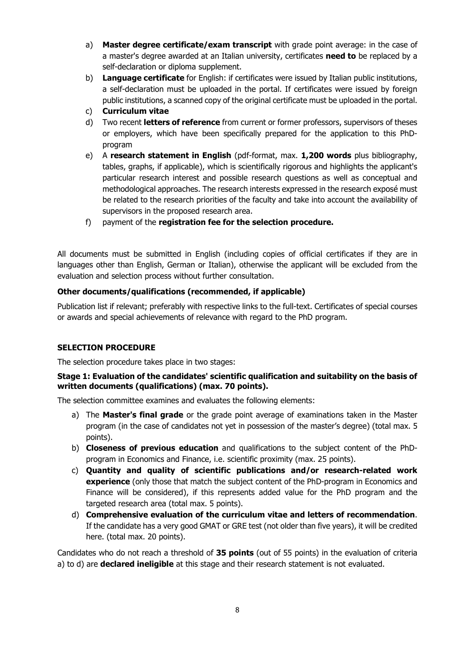- a) **Master degree certificate/exam transcript** with grade point average: in the case of a master's degree awarded at an Italian university, certificates **need to** be replaced by a self-declaration or diploma supplement.
- b) **Language certificate** for English: if certificates were issued by Italian public institutions, a self-declaration must be uploaded in the portal. If certificates were issued by foreign public institutions, a scanned copy of the original certificate must be uploaded in the portal.
- c) **Curriculum vitae**
- d) Two recent **letters of reference** from current or former professors, supervisors of theses or employers, which have been specifically prepared for the application to this PhDprogram
- e) A **research statement in English** (pdf-format, max. **1,200 words** plus bibliography, tables, graphs, if applicable), which is scientifically rigorous and highlights the applicant's particular research interest and possible research questions as well as conceptual and methodological approaches. The research interests expressed in the research exposé must be related to the research priorities of the faculty and take into account the availability of supervisors in the proposed research area.
- f) payment of the **registration fee for the selection procedure.**

All documents must be submitted in English (including copies of official certificates if they are in languages other than English, German or Italian), otherwise the applicant will be excluded from the evaluation and selection process without further consultation.

## **Other documents/qualifications (recommended, if applicable)**

Publication list if relevant; preferably with respective links to the full-text. Certificates of special courses or awards and special achievements of relevance with regard to the PhD program.

## **SELECTION PROCEDURE**

The selection procedure takes place in two stages:

## **Stage 1: Evaluation of the candidates' scientific qualification and suitability on the basis of written documents (qualifications) (max. 70 points).**

The selection committee examines and evaluates the following elements:

- a) The **Master's final grade** or the grade point average of examinations taken in the Master program (in the case of candidates not yet in possession of the master's degree) (total max. 5 points).
- b) **Closeness of previous education** and qualifications to the subject content of the PhDprogram in Economics and Finance, i.e. scientific proximity (max. 25 points).
- c) **Quantity and quality of scientific publications and/or research-related work experience** (only those that match the subject content of the PhD-program in Economics and Finance will be considered), if this represents added value for the PhD program and the targeted research area (total max. 5 points).
- d) **Comprehensive evaluation of the curriculum vitae and letters of recommendation**. If the candidate has a very good GMAT or GRE test (not older than five years), it will be credited here. (total max. 20 points).

Candidates who do not reach a threshold of **35 points** (out of 55 points) in the evaluation of criteria a) to d) are **declared ineligible** at this stage and their research statement is not evaluated.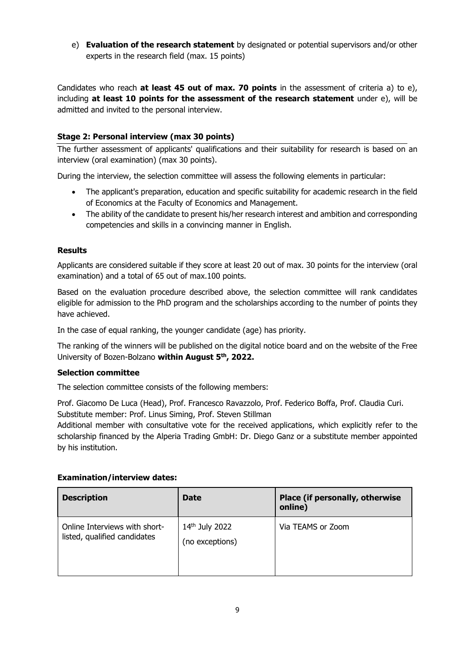e) **Evaluation of the research statement** by designated or potential supervisors and/or other experts in the research field (max. 15 points)

Candidates who reach **at least 45 out of max. 70 points** in the assessment of criteria a) to e), including **at least 10 points for the assessment of the research statement** under e), will be admitted and invited to the personal interview.

# **Stage 2: Personal interview (max 30 points)**

The further assessment of applicants' qualifications and their suitability for research is based on an interview (oral examination) (max 30 points).

During the interview, the selection committee will assess the following elements in particular:

- The applicant's preparation, education and specific suitability for academic research in the field of Economics at the Faculty of Economics and Management.
- The ability of the candidate to present his/her research interest and ambition and corresponding competencies and skills in a convincing manner in English.

## **Results**

Applicants are considered suitable if they score at least 20 out of max. 30 points for the interview (oral examination) and a total of 65 out of max.100 points.

Based on the evaluation procedure described above, the selection committee will rank candidates eligible for admission to the PhD program and the scholarships according to the number of points they have achieved.

In the case of equal ranking, the younger candidate (age) has priority.

The ranking of the winners will be published on the digital notice board and on the website of the Free University of Bozen-Bolzano **within August 5th, 2022.**

#### **Selection committee**

The selection committee consists of the following members:

Prof. Giacomo De Luca (Head), Prof. Francesco Ravazzolo, Prof. Federico Boffa, Prof. Claudia Curi. Substitute member: Prof. Linus Siming, Prof. Steven Stillman

Additional member with consultative vote for the received applications, which explicitly refer to the scholarship financed by the Alperia Trading GmbH: Dr. Diego Ganz or a substitute member appointed by his institution.

#### **Examination/interview dates:**

| <b>Description</b>                                            | <b>Date</b>                       | Place (if personally, otherwise<br>online) |
|---------------------------------------------------------------|-----------------------------------|--------------------------------------------|
| Online Interviews with short-<br>listed, qualified candidates | 14th July 2022<br>(no exceptions) | Via TEAMS or Zoom                          |